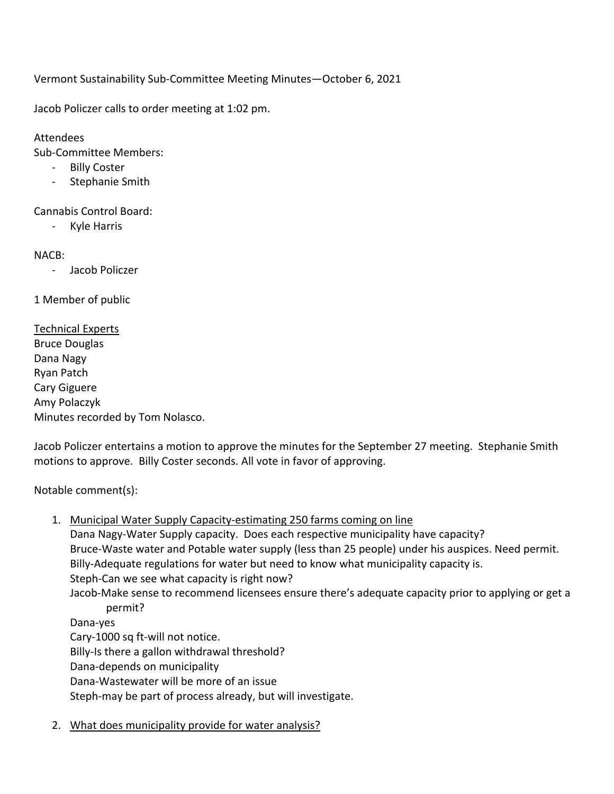Vermont Sustainability Sub-Committee Meeting Minutes—October 6, 2021

Jacob Policzer calls to order meeting at 1:02 pm.

Attendees

Sub-Committee Members:

- Billy Coster
- Stephanie Smith

Cannabis Control Board:

- Kyle Harris

NACB:

- Jacob Policzer

1 Member of public

Technical Experts Bruce Douglas Dana Nagy Ryan Patch Cary Giguere Amy Polaczyk Minutes recorded by Tom Nolasco.

Jacob Policzer entertains a motion to approve the minutes for the September 27 meeting. Stephanie Smith motions to approve. Billy Coster seconds. All vote in favor of approving.

Notable comment(s):

- 1. Municipal Water Supply Capacity-estimating 250 farms coming on line Dana Nagy-Water Supply capacity. Does each respective municipality have capacity? Bruce-Waste water and Potable water supply (less than 25 people) under his auspices. Need permit. Billy-Adequate regulations for water but need to know what municipality capacity is. Steph-Can we see what capacity is right now? Jacob-Make sense to recommend licensees ensure there's adequate capacity prior to applying or get a permit? Dana-yes Cary-1000 sq ft-will not notice. Billy-Is there a gallon withdrawal threshold? Dana-depends on municipality Dana-Wastewater will be more of an issue Steph-may be part of process already, but will investigate.
- 2. What does municipality provide for water analysis?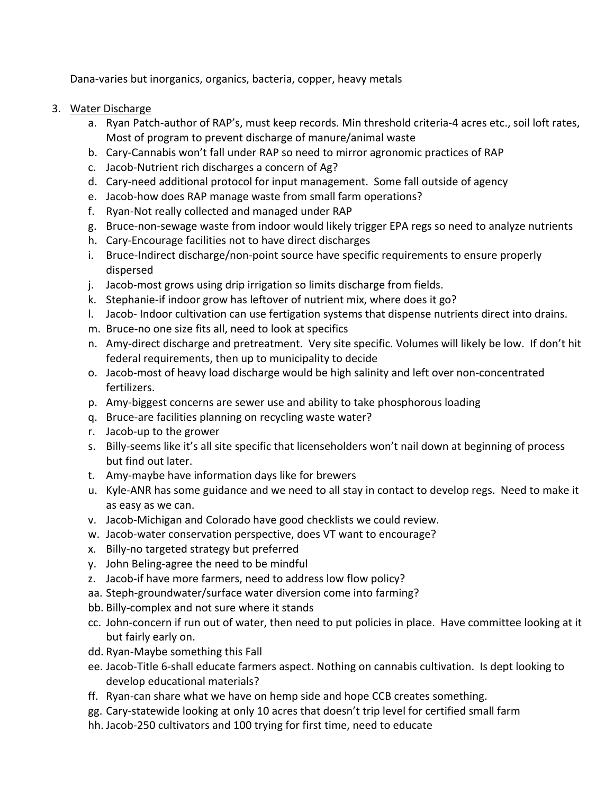Dana-varies but inorganics, organics, bacteria, copper, heavy metals

- 3. Water Discharge
	- a. Ryan Patch-author of RAP's, must keep records. Min threshold criteria-4 acres etc., soil loft rates, Most of program to prevent discharge of manure/animal waste
	- b. Cary-Cannabis won't fall under RAP so need to mirror agronomic practices of RAP
	- c. Jacob-Nutrient rich discharges a concern of Ag?
	- d. Cary-need additional protocol for input management. Some fall outside of agency
	- e. Jacob-how does RAP manage waste from small farm operations?
	- f. Ryan-Not really collected and managed under RAP
	- g. Bruce-non-sewage waste from indoor would likely trigger EPA regs so need to analyze nutrients
	- h. Cary-Encourage facilities not to have direct discharges
	- i. Bruce-Indirect discharge/non-point source have specific requirements to ensure properly dispersed
	- j. Jacob-most grows using drip irrigation so limits discharge from fields.
	- k. Stephanie-if indoor grow has leftover of nutrient mix, where does it go?
	- l. Jacob- Indoor cultivation can use fertigation systems that dispense nutrients direct into drains.
	- m. Bruce-no one size fits all, need to look at specifics
	- n. Amy-direct discharge and pretreatment. Very site specific. Volumes will likely be low. If don't hit federal requirements, then up to municipality to decide
	- o. Jacob-most of heavy load discharge would be high salinity and left over non-concentrated fertilizers.
	- p. Amy-biggest concerns are sewer use and ability to take phosphorous loading
	- q. Bruce-are facilities planning on recycling waste water?
	- r. Jacob-up to the grower
	- s. Billy-seems like it's all site specific that licenseholders won't nail down at beginning of process but find out later.
	- t. Amy-maybe have information days like for brewers
	- u. Kyle-ANR has some guidance and we need to all stay in contact to develop regs. Need to make it as easy as we can.
	- v. Jacob-Michigan and Colorado have good checklists we could review.
	- w. Jacob-water conservation perspective, does VT want to encourage?
	- x. Billy-no targeted strategy but preferred
	- y. John Beling-agree the need to be mindful
	- z. Jacob-if have more farmers, need to address low flow policy?
	- aa. Steph-groundwater/surface water diversion come into farming?
	- bb. Billy-complex and not sure where it stands
	- cc. John-concern if run out of water, then need to put policies in place. Have committee looking at it but fairly early on.
	- dd. Ryan-Maybe something this Fall
	- ee. Jacob-Title 6-shall educate farmers aspect. Nothing on cannabis cultivation. Is dept looking to develop educational materials?
	- ff. Ryan-can share what we have on hemp side and hope CCB creates something.
	- gg. Cary-statewide looking at only 10 acres that doesn't trip level for certified small farm
	- hh. Jacob-250 cultivators and 100 trying for first time, need to educate